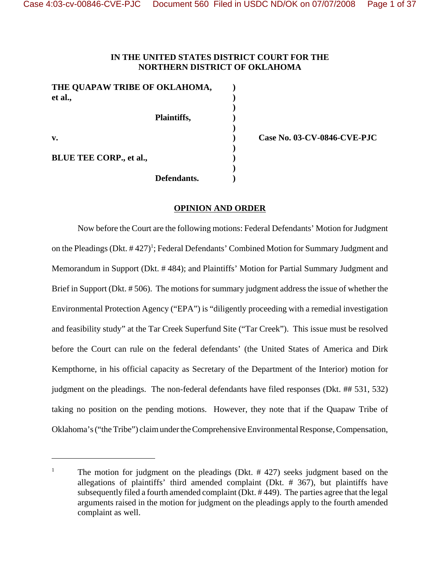# **IN THE UNITED STATES DISTRICT COURT FOR THE NORTHERN DISTRICT OF OKLAHOMA**

**)**

**)**

**)**

**)**

| THE QUAPAW TRIBE OF OKLAHOMA,<br>et al., |             |  |
|------------------------------------------|-------------|--|
|                                          | Plaintiffs, |  |
| $\mathbf{v}$ .                           |             |  |
| <b>BLUE TEE CORP., et al.,</b>           |             |  |
|                                          | Defendants. |  |

**v. ) Case No. 03-CV-0846-CVE-PJC**

## **OPINION AND ORDER**

Now before the Court are the following motions: Federal Defendants' Motion for Judgment on the Pleadings (Dkt. #427)<sup>1</sup>; Federal Defendants' Combined Motion for Summary Judgment and Memorandum in Support (Dkt. # 484); and Plaintiffs' Motion for Partial Summary Judgment and Brief in Support (Dkt. # 506). The motions for summary judgment address the issue of whether the Environmental Protection Agency ("EPA") is "diligently proceeding with a remedial investigation and feasibility study" at the Tar Creek Superfund Site ("Tar Creek"). This issue must be resolved before the Court can rule on the federal defendants' (the United States of America and Dirk Kempthorne, in his official capacity as Secretary of the Department of the Interior) motion for judgment on the pleadings. The non-federal defendants have filed responses (Dkt. ## 531, 532) taking no position on the pending motions. However, they note that if the Quapaw Tribe of Oklahoma's ("the Tribe") claim under the Comprehensive Environmental Response, Compensation,

<sup>&</sup>lt;sup>1</sup> The motion for judgment on the pleadings (Dkt.  $\#$  427) seeks judgment based on the allegations of plaintiffs' third amended complaint (Dkt. # 367), but plaintiffs have subsequently filed a fourth amended complaint (Dkt. # 449). The parties agree that the legal arguments raised in the motion for judgment on the pleadings apply to the fourth amended complaint as well.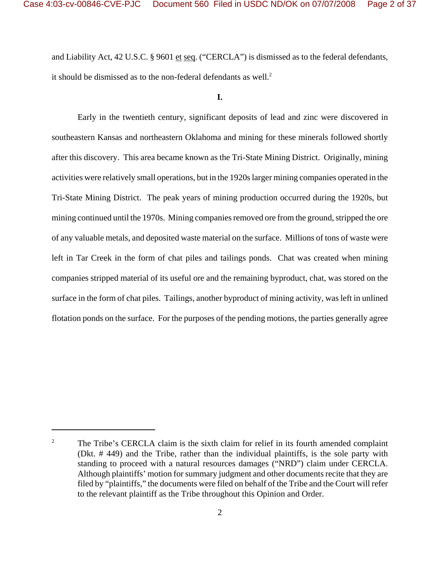and Liability Act, 42 U.S.C. § 9601 et seq. ("CERCLA") is dismissed as to the federal defendants, it should be dismissed as to the non-federal defendants as well. $<sup>2</sup>$ </sup>

### **I.**

Early in the twentieth century, significant deposits of lead and zinc were discovered in southeastern Kansas and northeastern Oklahoma and mining for these minerals followed shortly after this discovery. This area became known as the Tri-State Mining District. Originally, mining activities were relatively small operations, but in the 1920s larger mining companies operated in the Tri-State Mining District. The peak years of mining production occurred during the 1920s, but mining continued until the 1970s. Mining companies removed ore from the ground, stripped the ore of any valuable metals, and deposited waste material on the surface. Millions of tons of waste were left in Tar Creek in the form of chat piles and tailings ponds. Chat was created when mining companies stripped material of its useful ore and the remaining byproduct, chat, was stored on the surface in the form of chat piles. Tailings, another byproduct of mining activity, was left in unlined flotation ponds on the surface. For the purposes of the pending motions, the parties generally agree

<sup>&</sup>lt;sup>2</sup> The Tribe's CERCLA claim is the sixth claim for relief in its fourth amended complaint (Dkt. # 449) and the Tribe, rather than the individual plaintiffs, is the sole party with standing to proceed with a natural resources damages ("NRD") claim under CERCLA. Although plaintiffs' motion for summary judgment and other documents recite that they are filed by "plaintiffs," the documents were filed on behalf of the Tribe and the Court will refer to the relevant plaintiff as the Tribe throughout this Opinion and Order.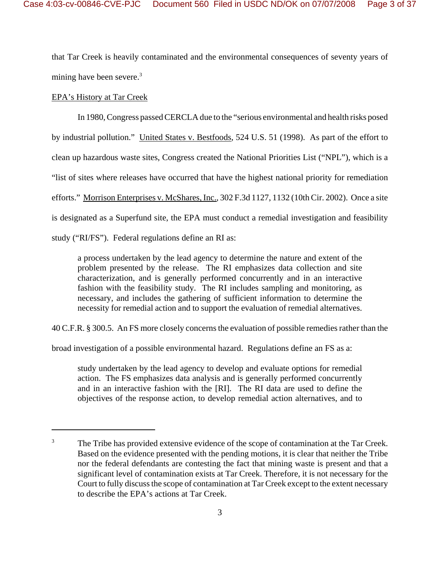that Tar Creek is heavily contaminated and the environmental consequences of seventy years of mining have been severe.<sup>3</sup>

# EPA's History at Tar Creek

In 1980, Congress passed CERCLA due to the "serious environmental and health risks posed by industrial pollution." United States v. Bestfoods, 524 U.S. 51 (1998). As part of the effort to clean up hazardous waste sites, Congress created the National Priorities List ("NPL"), which is a "list of sites where releases have occurred that have the highest national priority for remediation efforts." Morrison Enterprises v. McShares, Inc., 302 F.3d 1127, 1132 (10th Cir. 2002). Once a site is designated as a Superfund site, the EPA must conduct a remedial investigation and feasibility study ("RI/FS"). Federal regulations define an RI as:

a process undertaken by the lead agency to determine the nature and extent of the problem presented by the release. The RI emphasizes data collection and site characterization, and is generally performed concurrently and in an interactive fashion with the feasibility study. The RI includes sampling and monitoring, as necessary, and includes the gathering of sufficient information to determine the necessity for remedial action and to support the evaluation of remedial alternatives.

40 C.F.R. § 300.5. An FS more closely concerns the evaluation of possible remedies rather than the

broad investigation of a possible environmental hazard. Regulations define an FS as a:

study undertaken by the lead agency to develop and evaluate options for remedial action. The FS emphasizes data analysis and is generally performed concurrently and in an interactive fashion with the [RI]. The RI data are used to define the objectives of the response action, to develop remedial action alternatives, and to

<sup>&</sup>lt;sup>3</sup> The Tribe has provided extensive evidence of the scope of contamination at the Tar Creek. Based on the evidence presented with the pending motions, it is clear that neither the Tribe nor the federal defendants are contesting the fact that mining waste is present and that a significant level of contamination exists at Tar Creek. Therefore, it is not necessary for the Court to fully discuss the scope of contamination at Tar Creek except to the extent necessary to describe the EPA's actions at Tar Creek.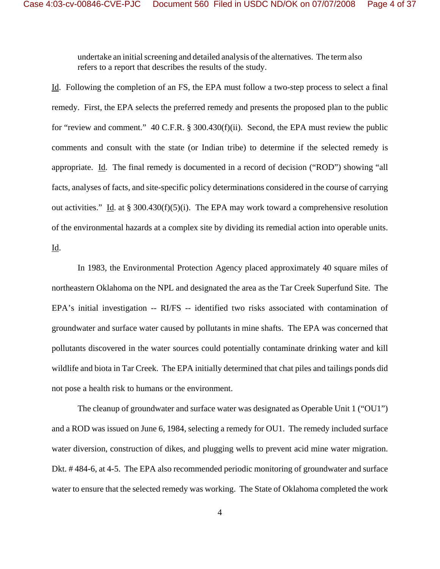undertake an initial screening and detailed analysis of the alternatives. The term also refers to a report that describes the results of the study.

Id. Following the completion of an FS, the EPA must follow a two-step process to select a final remedy. First, the EPA selects the preferred remedy and presents the proposed plan to the public for "review and comment." 40 C.F.R. § 300.430(f)(ii). Second, the EPA must review the public comments and consult with the state (or Indian tribe) to determine if the selected remedy is appropriate. Id. The final remedy is documented in a record of decision ("ROD") showing "all facts, analyses of facts, and site-specific policy determinations considered in the course of carrying out activities." Id. at § 300.430(f)(5)(i). The EPA may work toward a comprehensive resolution of the environmental hazards at a complex site by dividing its remedial action into operable units. Id.

In 1983, the Environmental Protection Agency placed approximately 40 square miles of northeastern Oklahoma on the NPL and designated the area as the Tar Creek Superfund Site. The EPA's initial investigation -- RI/FS -- identified two risks associated with contamination of groundwater and surface water caused by pollutants in mine shafts. The EPA was concerned that pollutants discovered in the water sources could potentially contaminate drinking water and kill wildlife and biota in Tar Creek. The EPA initially determined that chat piles and tailings ponds did not pose a health risk to humans or the environment.

The cleanup of groundwater and surface water was designated as Operable Unit 1 ("OU1") and a ROD was issued on June 6, 1984, selecting a remedy for OU1. The remedy included surface water diversion, construction of dikes, and plugging wells to prevent acid mine water migration. Dkt. # 484-6, at 4-5. The EPA also recommended periodic monitoring of groundwater and surface water to ensure that the selected remedy was working. The State of Oklahoma completed the work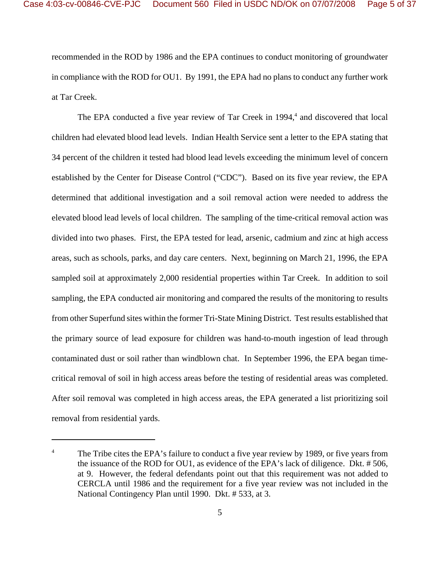recommended in the ROD by 1986 and the EPA continues to conduct monitoring of groundwater in compliance with the ROD for OU1. By 1991, the EPA had no plans to conduct any further work at Tar Creek.

The EPA conducted a five year review of Tar Creek in 1994,<sup>4</sup> and discovered that local children had elevated blood lead levels. Indian Health Service sent a letter to the EPA stating that 34 percent of the children it tested had blood lead levels exceeding the minimum level of concern established by the Center for Disease Control ("CDC"). Based on its five year review, the EPA determined that additional investigation and a soil removal action were needed to address the elevated blood lead levels of local children. The sampling of the time-critical removal action was divided into two phases. First, the EPA tested for lead, arsenic, cadmium and zinc at high access areas, such as schools, parks, and day care centers. Next, beginning on March 21, 1996, the EPA sampled soil at approximately 2,000 residential properties within Tar Creek. In addition to soil sampling, the EPA conducted air monitoring and compared the results of the monitoring to results from other Superfund sites within the former Tri-State Mining District. Test results established that the primary source of lead exposure for children was hand-to-mouth ingestion of lead through contaminated dust or soil rather than windblown chat. In September 1996, the EPA began timecritical removal of soil in high access areas before the testing of residential areas was completed. After soil removal was completed in high access areas, the EPA generated a list prioritizing soil removal from residential yards.

<sup>&</sup>lt;sup>4</sup> The Tribe cites the EPA's failure to conduct a five year review by 1989, or five years from the issuance of the ROD for OU1, as evidence of the EPA's lack of diligence. Dkt. # 506, at 9. However, the federal defendants point out that this requirement was not added to CERCLA until 1986 and the requirement for a five year review was not included in the National Contingency Plan until 1990. Dkt. # 533, at 3.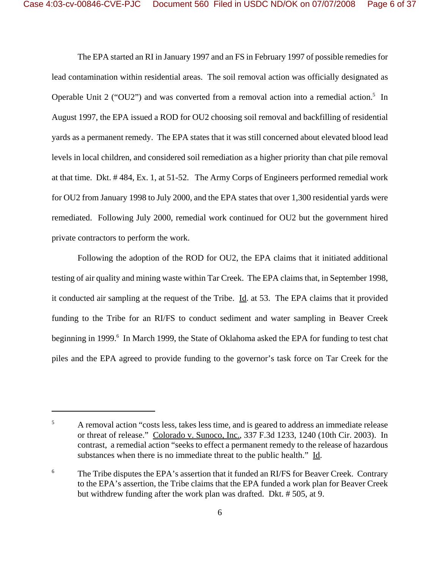The EPA started an RI in January 1997 and an FS in February 1997 of possible remedies for lead contamination within residential areas. The soil removal action was officially designated as Operable Unit 2 ("OU2") and was converted from a removal action into a remedial action.<sup>5</sup> In August 1997, the EPA issued a ROD for OU2 choosing soil removal and backfilling of residential yards as a permanent remedy. The EPA states that it was still concerned about elevated blood lead levels in local children, and considered soil remediation as a higher priority than chat pile removal at that time. Dkt. # 484, Ex. 1, at 51-52. The Army Corps of Engineers performed remedial work for OU2 from January 1998 to July 2000, and the EPA states that over 1,300 residential yards were remediated. Following July 2000, remedial work continued for OU2 but the government hired private contractors to perform the work.

Following the adoption of the ROD for OU2, the EPA claims that it initiated additional testing of air quality and mining waste within Tar Creek. The EPA claims that, in September 1998, it conducted air sampling at the request of the Tribe. Id. at 53. The EPA claims that it provided funding to the Tribe for an RI/FS to conduct sediment and water sampling in Beaver Creek beginning in 1999.<sup>6</sup> In March 1999, the State of Oklahoma asked the EPA for funding to test chat piles and the EPA agreed to provide funding to the governor's task force on Tar Creek for the

<sup>&</sup>lt;sup>5</sup> A removal action "costs less, takes less time, and is geared to address an immediate release or threat of release." Colorado v. Sunoco, Inc., 337 F.3d 1233, 1240 (10th Cir. 2003). In contrast, a remedial action "seeks to effect a permanent remedy to the release of hazardous substances when there is no immediate threat to the public health." Id.

<sup>&</sup>lt;sup>6</sup> The Tribe disputes the EPA's assertion that it funded an RI/FS for Beaver Creek. Contrary to the EPA's assertion, the Tribe claims that the EPA funded a work plan for Beaver Creek but withdrew funding after the work plan was drafted. Dkt. # 505, at 9.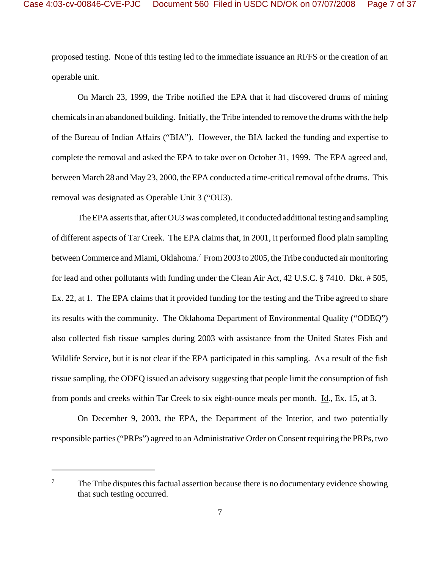proposed testing. None of this testing led to the immediate issuance an RI/FS or the creation of an operable unit.

On March 23, 1999, the Tribe notified the EPA that it had discovered drums of mining chemicals in an abandoned building. Initially, the Tribe intended to remove the drums with the help of the Bureau of Indian Affairs ("BIA"). However, the BIA lacked the funding and expertise to complete the removal and asked the EPA to take over on October 31, 1999. The EPA agreed and, between March 28 and May 23, 2000, the EPA conducted a time-critical removal of the drums. This removal was designated as Operable Unit 3 ("OU3).

The EPA asserts that, after OU3 was completed, it conducted additional testing and sampling of different aspects of Tar Creek. The EPA claims that, in 2001, it performed flood plain sampling between Commerce and Miami, Oklahoma.<sup>7</sup> From 2003 to 2005, the Tribe conducted air monitoring for lead and other pollutants with funding under the Clean Air Act, 42 U.S.C. § 7410. Dkt. # 505, Ex. 22, at 1. The EPA claims that it provided funding for the testing and the Tribe agreed to share its results with the community. The Oklahoma Department of Environmental Quality ("ODEQ") also collected fish tissue samples during 2003 with assistance from the United States Fish and Wildlife Service, but it is not clear if the EPA participated in this sampling. As a result of the fish tissue sampling, the ODEQ issued an advisory suggesting that people limit the consumption of fish from ponds and creeks within Tar Creek to six eight-ounce meals per month. Id., Ex. 15, at 3.

On December 9, 2003, the EPA, the Department of the Interior, and two potentially responsible parties ("PRPs") agreed to an Administrative Order on Consent requiring the PRPs, two

 $7\sigma$  The Tribe disputes this factual assertion because there is no documentary evidence showing that such testing occurred.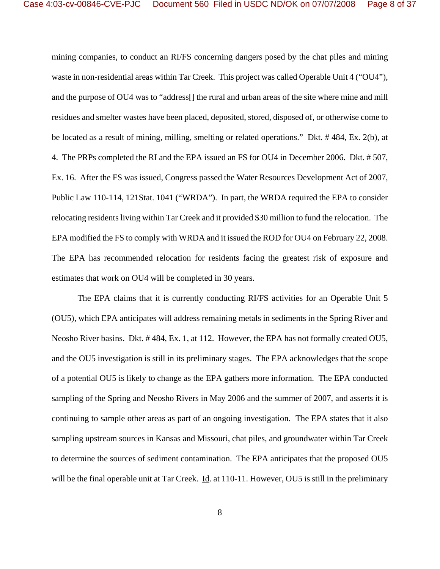mining companies, to conduct an RI/FS concerning dangers posed by the chat piles and mining waste in non-residential areas within Tar Creek. This project was called Operable Unit 4 ("OU4"), and the purpose of OU4 was to "address[] the rural and urban areas of the site where mine and mill residues and smelter wastes have been placed, deposited, stored, disposed of, or otherwise come to be located as a result of mining, milling, smelting or related operations." Dkt. # 484, Ex. 2(b), at 4. The PRPs completed the RI and the EPA issued an FS for OU4 in December 2006. Dkt. # 507, Ex. 16. After the FS was issued, Congress passed the Water Resources Development Act of 2007, Public Law 110-114, 121Stat. 1041 ("WRDA"). In part, the WRDA required the EPA to consider relocating residents living within Tar Creek and it provided \$30 million to fund the relocation. The EPA modified the FS to comply with WRDA and it issued the ROD for OU4 on February 22, 2008. The EPA has recommended relocation for residents facing the greatest risk of exposure and estimates that work on OU4 will be completed in 30 years.

The EPA claims that it is currently conducting RI/FS activities for an Operable Unit 5 (OU5), which EPA anticipates will address remaining metals in sediments in the Spring River and Neosho River basins. Dkt. # 484, Ex. 1, at 112. However, the EPA has not formally created OU5, and the OU5 investigation is still in its preliminary stages. The EPA acknowledges that the scope of a potential OU5 is likely to change as the EPA gathers more information. The EPA conducted sampling of the Spring and Neosho Rivers in May 2006 and the summer of 2007, and asserts it is continuing to sample other areas as part of an ongoing investigation. The EPA states that it also sampling upstream sources in Kansas and Missouri, chat piles, and groundwater within Tar Creek to determine the sources of sediment contamination. The EPA anticipates that the proposed OU5 will be the final operable unit at Tar Creek. Id. at 110-11. However, OU5 is still in the preliminary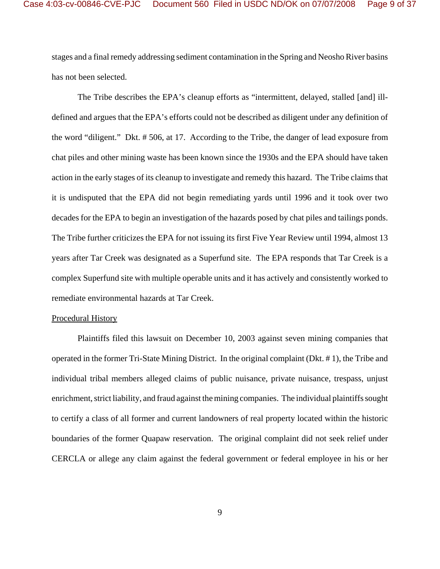stages and a final remedy addressing sediment contamination in the Spring and Neosho River basins has not been selected.

The Tribe describes the EPA's cleanup efforts as "intermittent, delayed, stalled [and] illdefined and argues that the EPA's efforts could not be described as diligent under any definition of the word "diligent." Dkt. # 506, at 17. According to the Tribe, the danger of lead exposure from chat piles and other mining waste has been known since the 1930s and the EPA should have taken action in the early stages of its cleanup to investigate and remedy this hazard. The Tribe claims that it is undisputed that the EPA did not begin remediating yards until 1996 and it took over two decades for the EPA to begin an investigation of the hazards posed by chat piles and tailings ponds. The Tribe further criticizes the EPA for not issuing its first Five Year Review until 1994, almost 13 years after Tar Creek was designated as a Superfund site. The EPA responds that Tar Creek is a complex Superfund site with multiple operable units and it has actively and consistently worked to remediate environmental hazards at Tar Creek.

### Procedural History

Plaintiffs filed this lawsuit on December 10, 2003 against seven mining companies that operated in the former Tri-State Mining District. In the original complaint (Dkt. # 1), the Tribe and individual tribal members alleged claims of public nuisance, private nuisance, trespass, unjust enrichment, strict liability, and fraud against the mining companies. The individual plaintiffs sought to certify a class of all former and current landowners of real property located within the historic boundaries of the former Quapaw reservation. The original complaint did not seek relief under CERCLA or allege any claim against the federal government or federal employee in his or her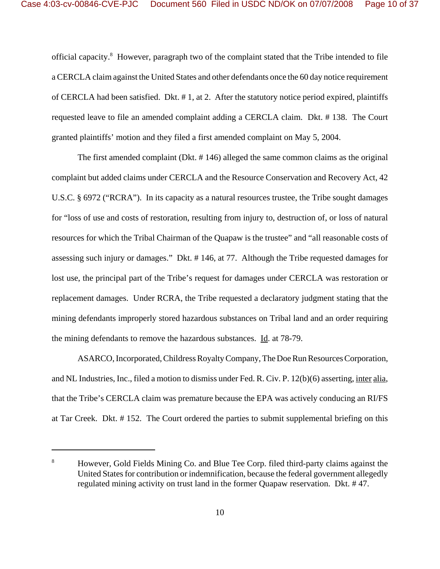official capacity.<sup>8</sup> However, paragraph two of the complaint stated that the Tribe intended to file a CERCLA claim against the United States and other defendants once the 60 day notice requirement of CERCLA had been satisfied. Dkt. # 1, at 2. After the statutory notice period expired, plaintiffs requested leave to file an amended complaint adding a CERCLA claim. Dkt. # 138. The Court granted plaintiffs' motion and they filed a first amended complaint on May 5, 2004.

The first amended complaint (Dkt. # 146) alleged the same common claims as the original complaint but added claims under CERCLA and the Resource Conservation and Recovery Act, 42 U.S.C. § 6972 ("RCRA"). In its capacity as a natural resources trustee, the Tribe sought damages for "loss of use and costs of restoration, resulting from injury to, destruction of, or loss of natural resources for which the Tribal Chairman of the Quapaw is the trustee" and "all reasonable costs of assessing such injury or damages." Dkt. # 146, at 77. Although the Tribe requested damages for lost use, the principal part of the Tribe's request for damages under CERCLA was restoration or replacement damages. Under RCRA, the Tribe requested a declaratory judgment stating that the mining defendants improperly stored hazardous substances on Tribal land and an order requiring the mining defendants to remove the hazardous substances. Id. at 78-79.

ASARCO, Incorporated, Childress Royalty Company, The Doe Run Resources Corporation, and NL Industries, Inc., filed a motion to dismiss under Fed. R. Civ. P. 12(b)(6) asserting, inter alia, that the Tribe's CERCLA claim was premature because the EPA was actively conducing an RI/FS at Tar Creek. Dkt. # 152. The Court ordered the parties to submit supplemental briefing on this

<sup>&</sup>lt;sup>8</sup> However, Gold Fields Mining Co. and Blue Tee Corp. filed third-party claims against the United States for contribution or indemnification, because the federal government allegedly regulated mining activity on trust land in the former Quapaw reservation. Dkt. # 47.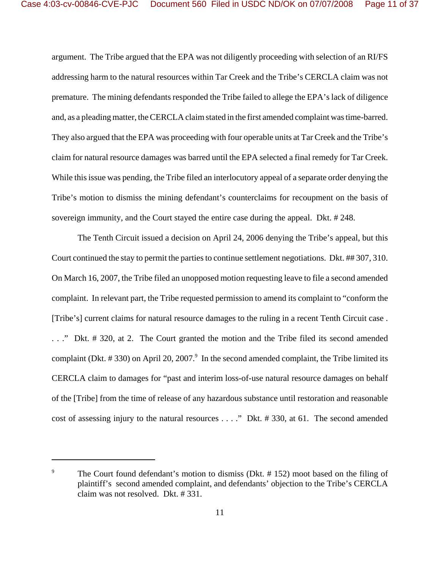argument. The Tribe argued that the EPA was not diligently proceeding with selection of an RI/FS addressing harm to the natural resources within Tar Creek and the Tribe's CERCLA claim was not premature. The mining defendants responded the Tribe failed to allege the EPA's lack of diligence and, as a pleading matter, the CERCLA claim stated in the first amended complaint was time-barred. They also argued that the EPA was proceeding with four operable units at Tar Creek and the Tribe's claim for natural resource damages was barred until the EPA selected a final remedy for Tar Creek. While this issue was pending, the Tribe filed an interlocutory appeal of a separate order denying the Tribe's motion to dismiss the mining defendant's counterclaims for recoupment on the basis of sovereign immunity, and the Court stayed the entire case during the appeal. Dkt. # 248.

The Tenth Circuit issued a decision on April 24, 2006 denying the Tribe's appeal, but this Court continued the stay to permit the parties to continue settlement negotiations. Dkt. ## 307, 310. On March 16, 2007, the Tribe filed an unopposed motion requesting leave to file a second amended complaint. In relevant part, the Tribe requested permission to amend its complaint to "conform the [Tribe's] current claims for natural resource damages to the ruling in a recent Tenth Circuit case . . . ." Dkt. # 320, at 2. The Court granted the motion and the Tribe filed its second amended complaint (Dkt.  $\# 330$ ) on April 20, 2007.<sup>9</sup> In the second amended complaint, the Tribe limited its CERCLA claim to damages for "past and interim loss-of-use natural resource damages on behalf of the [Tribe] from the time of release of any hazardous substance until restoration and reasonable cost of assessing injury to the natural resources . . . ." Dkt. # 330, at 61. The second amended

<sup>&</sup>lt;sup>9</sup> The Court found defendant's motion to dismiss (Dkt.  $# 152$ ) moot based on the filing of plaintiff's second amended complaint, and defendants' objection to the Tribe's CERCLA claim was not resolved. Dkt. # 331.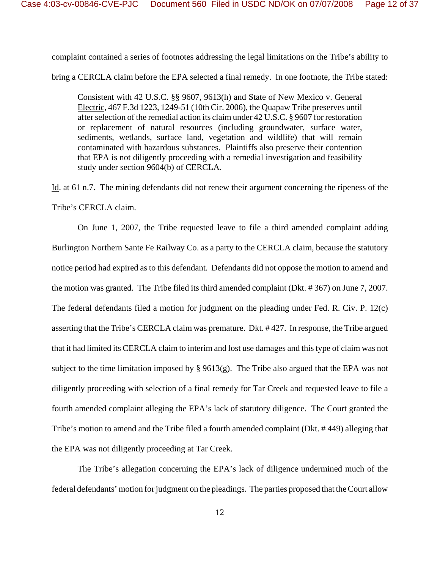complaint contained a series of footnotes addressing the legal limitations on the Tribe's ability to

bring a CERCLA claim before the EPA selected a final remedy. In one footnote, the Tribe stated:

Consistent with 42 U.S.C. §§ 9607, 9613(h) and State of New Mexico v. General Electric, 467 F.3d 1223, 1249-51 (10th Cir. 2006), the Quapaw Tribe preserves until after selection of the remedial action its claim under 42 U.S.C. § 9607 for restoration or replacement of natural resources (including groundwater, surface water, sediments, wetlands, surface land, vegetation and wildlife) that will remain contaminated with hazardous substances. Plaintiffs also preserve their contention that EPA is not diligently proceeding with a remedial investigation and feasibility study under section 9604(b) of CERCLA.

Id. at 61 n.7. The mining defendants did not renew their argument concerning the ripeness of the Tribe's CERCLA claim.

On June 1, 2007, the Tribe requested leave to file a third amended complaint adding Burlington Northern Sante Fe Railway Co. as a party to the CERCLA claim, because the statutory notice period had expired as to this defendant. Defendants did not oppose the motion to amend and the motion was granted. The Tribe filed its third amended complaint (Dkt. # 367) on June 7, 2007. The federal defendants filed a motion for judgment on the pleading under Fed. R. Civ. P. 12(c) asserting that the Tribe's CERCLA claim was premature. Dkt. # 427. In response, the Tribe argued that it had limited its CERCLA claim to interim and lost use damages and this type of claim was not subject to the time limitation imposed by  $\S 9613(g)$ . The Tribe also argued that the EPA was not diligently proceeding with selection of a final remedy for Tar Creek and requested leave to file a fourth amended complaint alleging the EPA's lack of statutory diligence. The Court granted the Tribe's motion to amend and the Tribe filed a fourth amended complaint (Dkt. # 449) alleging that the EPA was not diligently proceeding at Tar Creek.

The Tribe's allegation concerning the EPA's lack of diligence undermined much of the federal defendants' motion for judgment on the pleadings. The parties proposed that the Court allow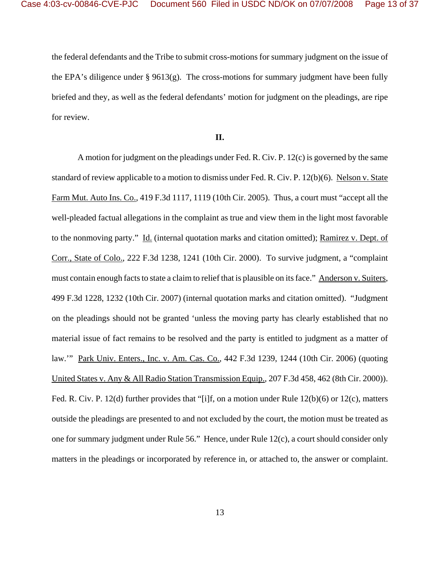the federal defendants and the Tribe to submit cross-motions for summary judgment on the issue of the EPA's diligence under § 9613(g). The cross-motions for summary judgment have been fully briefed and they, as well as the federal defendants' motion for judgment on the pleadings, are ripe for review.

### **II.**

A motion for judgment on the pleadings under Fed. R. Civ. P. 12(c) is governed by the same standard of review applicable to a motion to dismiss under Fed. R. Civ. P. 12(b)(6). Nelson v. State Farm Mut. Auto Ins. Co., 419 F.3d 1117, 1119 (10th Cir. 2005). Thus, a court must "accept all the well-pleaded factual allegations in the complaint as true and view them in the light most favorable to the nonmoving party." Id. (internal quotation marks and citation omitted); Ramirez v. Dept. of Corr., State of Colo., 222 F.3d 1238, 1241 (10th Cir. 2000). To survive judgment, a "complaint must contain enough facts to state a claim to relief that is plausible on its face." Anderson v. Suiters, 499 F.3d 1228, 1232 (10th Cir. 2007) (internal quotation marks and citation omitted). "Judgment on the pleadings should not be granted 'unless the moving party has clearly established that no material issue of fact remains to be resolved and the party is entitled to judgment as a matter of law.'" Park Univ. Enters., Inc. v. Am. Cas. Co., 442 F.3d 1239, 1244 (10th Cir. 2006) (quoting United States v. Any & All Radio Station Transmission Equip., 207 F.3d 458, 462 (8th Cir. 2000)). Fed. R. Civ. P. 12(d) further provides that "[i]f, on a motion under Rule 12(b)(6) or 12(c), matters outside the pleadings are presented to and not excluded by the court, the motion must be treated as one for summary judgment under Rule 56." Hence, under Rule 12(c), a court should consider only matters in the pleadings or incorporated by reference in, or attached to, the answer or complaint.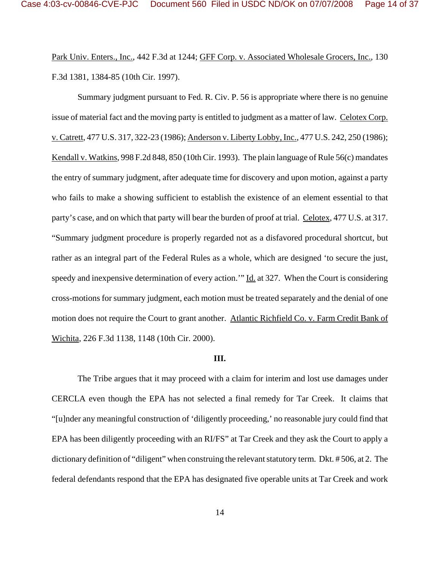Park Univ. Enters., Inc., 442 F.3d at 1244; GFF Corp. v. Associated Wholesale Grocers, Inc., 130 F.3d 1381, 1384-85 (10th Cir. 1997).

Summary judgment pursuant to Fed. R. Civ. P. 56 is appropriate where there is no genuine issue of material fact and the moving party is entitled to judgment as a matter of law. Celotex Corp. v. Catrett, 477 U.S. 317, 322-23 (1986); Anderson v. Liberty Lobby, Inc., 477 U.S. 242, 250 (1986); Kendall v. Watkins, 998 F.2d 848, 850 (10th Cir. 1993). The plain language of Rule 56(c) mandates the entry of summary judgment, after adequate time for discovery and upon motion, against a party who fails to make a showing sufficient to establish the existence of an element essential to that party's case, and on which that party will bear the burden of proof at trial. Celotex, 477 U.S. at 317. "Summary judgment procedure is properly regarded not as a disfavored procedural shortcut, but rather as an integral part of the Federal Rules as a whole, which are designed 'to secure the just, speedy and inexpensive determination of every action." Id. at 327. When the Court is considering cross-motions for summary judgment, each motion must be treated separately and the denial of one motion does not require the Court to grant another. Atlantic Richfield Co. v. Farm Credit Bank of Wichita, 226 F.3d 1138, 1148 (10th Cir. 2000).

#### **III.**

The Tribe argues that it may proceed with a claim for interim and lost use damages under CERCLA even though the EPA has not selected a final remedy for Tar Creek. It claims that "[u]nder any meaningful construction of 'diligently proceeding,' no reasonable jury could find that EPA has been diligently proceeding with an RI/FS" at Tar Creek and they ask the Court to apply a dictionary definition of "diligent" when construing the relevant statutory term. Dkt. # 506, at 2. The federal defendants respond that the EPA has designated five operable units at Tar Creek and work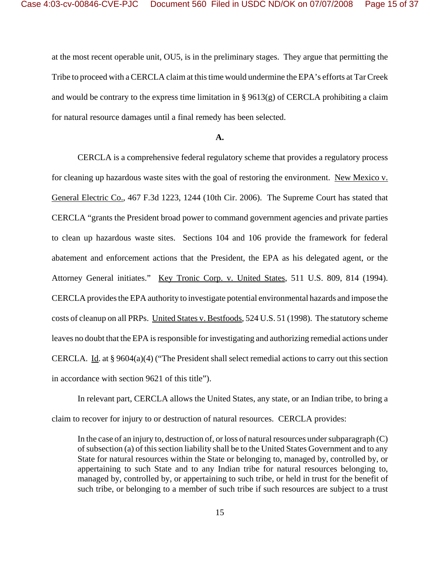at the most recent operable unit, OU5, is in the preliminary stages. They argue that permitting the Tribe to proceed with a CERCLA claim at this time would undermine the EPA's efforts at Tar Creek and would be contrary to the express time limitation in  $\S 9613(g)$  of CERCLA prohibiting a claim for natural resource damages until a final remedy has been selected.

#### **A.**

CERCLA is a comprehensive federal regulatory scheme that provides a regulatory process for cleaning up hazardous waste sites with the goal of restoring the environment. New Mexico v. General Electric Co., 467 F.3d 1223, 1244 (10th Cir. 2006). The Supreme Court has stated that CERCLA "grants the President broad power to command government agencies and private parties to clean up hazardous waste sites. Sections 104 and 106 provide the framework for federal abatement and enforcement actions that the President, the EPA as his delegated agent, or the Attorney General initiates." Key Tronic Corp. v. United States, 511 U.S. 809, 814 (1994). CERCLA provides the EPA authority to investigate potential environmental hazards and impose the costs of cleanup on all PRPs. United States v. Bestfoods, 524 U.S. 51 (1998). The statutory scheme leaves no doubt that the EPA is responsible for investigating and authorizing remedial actions under CERCLA. Id. at  $\S 9604(a)(4)$  ("The President shall select remedial actions to carry out this section in accordance with section 9621 of this title").

In relevant part, CERCLA allows the United States, any state, or an Indian tribe, to bring a claim to recover for injury to or destruction of natural resources. CERCLA provides:

In the case of an injury to, destruction of, or loss of natural resources under subparagraph (C) of subsection (a) of this section liability shall be to the United States Government and to any State for natural resources within the State or belonging to, managed by, controlled by, or appertaining to such State and to any Indian tribe for natural resources belonging to, managed by, controlled by, or appertaining to such tribe, or held in trust for the benefit of such tribe, or belonging to a member of such tribe if such resources are subject to a trust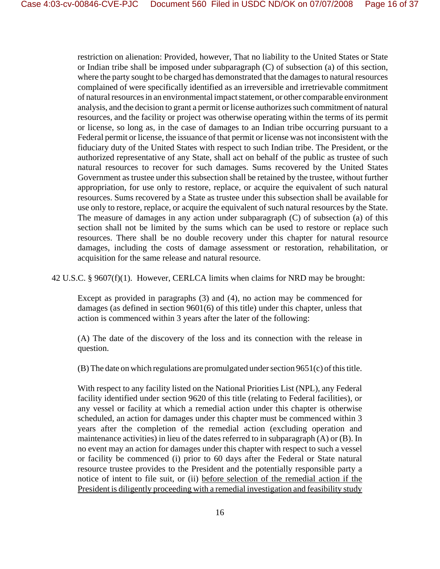restriction on alienation: Provided, however, That no liability to the United States or State or Indian tribe shall be imposed under subparagraph (C) of subsection (a) of this section, where the party sought to be charged has demonstrated that the damages to natural resources complained of were specifically identified as an irreversible and irretrievable commitment of natural resources in an environmental impact statement, or other comparable environment analysis, and the decision to grant a permit or license authorizes such commitment of natural resources, and the facility or project was otherwise operating within the terms of its permit or license, so long as, in the case of damages to an Indian tribe occurring pursuant to a Federal permit or license, the issuance of that permit or license was not inconsistent with the fiduciary duty of the United States with respect to such Indian tribe. The President, or the authorized representative of any State, shall act on behalf of the public as trustee of such natural resources to recover for such damages. Sums recovered by the United States Government as trustee under this subsection shall be retained by the trustee, without further appropriation, for use only to restore, replace, or acquire the equivalent of such natural resources. Sums recovered by a State as trustee under this subsection shall be available for use only to restore, replace, or acquire the equivalent of such natural resources by the State. The measure of damages in any action under subparagraph (C) of subsection (a) of this section shall not be limited by the sums which can be used to restore or replace such resources. There shall be no double recovery under this chapter for natural resource damages, including the costs of damage assessment or restoration, rehabilitation, or acquisition for the same release and natural resource.

42 U.S.C. § 9607(f)(1). However, CERLCA limits when claims for NRD may be brought:

Except as provided in paragraphs (3) and (4), no action may be commenced for damages (as defined in section 9601(6) of this title) under this chapter, unless that action is commenced within 3 years after the later of the following:

(A) The date of the discovery of the loss and its connection with the release in question.

(B) The date on which regulations are promulgated under section 9651(c) of this title.

With respect to any facility listed on the National Priorities List (NPL), any Federal facility identified under section 9620 of this title (relating to Federal facilities), or any vessel or facility at which a remedial action under this chapter is otherwise scheduled, an action for damages under this chapter must be commenced within 3 years after the completion of the remedial action (excluding operation and maintenance activities) in lieu of the dates referred to in subparagraph (A) or (B). In no event may an action for damages under this chapter with respect to such a vessel or facility be commenced (i) prior to 60 days after the Federal or State natural resource trustee provides to the President and the potentially responsible party a notice of intent to file suit, or (ii) before selection of the remedial action if the President is diligently proceeding with a remedial investigation and feasibility study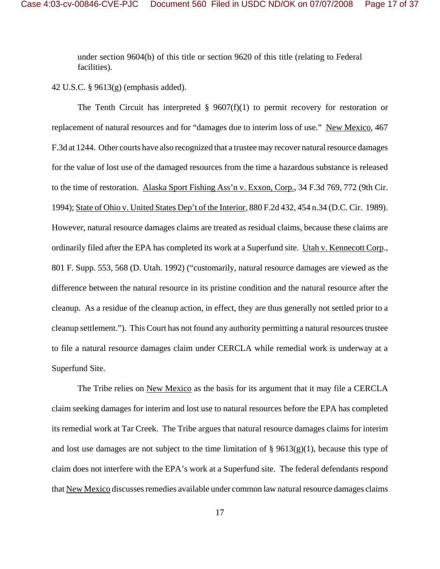under section 9604(b) of this title or section 9620 of this title (relating to Federal facilities).

42 U.S.C. § 9613(g) (emphasis added).

The Tenth Circuit has interpreted  $\S$  9607(f)(1) to permit recovery for restoration or replacement of natural resources and for "damages due to interim loss of use." New Mexico, 467 F.3d at 1244. Other courts have also recognized that a trustee may recover natural resource damages for the value of lost use of the damaged resources from the time a hazardous substance is released to the time of restoration. Alaska Sport Fishing Ass'n v. Exxon, Corp., 34 F.3d 769, 772 (9th Cir. 1994); State of Ohio v. United States Dep't of the Interior, 880 F.2d 432, 454 n.34 (D.C. Cir. 1989). However, natural resource damages claims are treated as residual claims, because these claims are ordinarily filed after the EPA has completed its work at a Superfund site. Utah v. Kennecott Corp., 801 F. Supp. 553, 568 (D. Utah. 1992) ("customarily, natural resource damages are viewed as the difference between the natural resource in its pristine condition and the natural resource after the cleanup. As a residue of the cleanup action, in effect, they are thus generally not settled prior to a cleanup settlement."). This Court has not found any authority permitting a natural resources trustee to file a natural resource damages claim under CERCLA while remedial work is underway at a Superfund Site.

The Tribe relies on New Mexico as the basis for its argument that it may file a CERCLA claim seeking damages for interim and lost use to natural resources before the EPA has completed its remedial work at Tar Creek. The Tribe argues that natural resource damages claims for interim and lost use damages are not subject to the time limitation of  $\S$  9613(g)(1), because this type of claim does not interfere with the EPA's work at a Superfund site. The federal defendants respond that New Mexico discusses remedies available under common law natural resource damages claims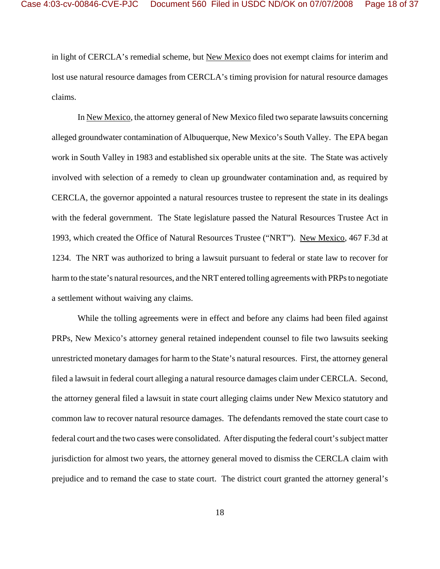in light of CERCLA's remedial scheme, but New Mexico does not exempt claims for interim and lost use natural resource damages from CERCLA's timing provision for natural resource damages claims.

In New Mexico, the attorney general of New Mexico filed two separate lawsuits concerning alleged groundwater contamination of Albuquerque, New Mexico's South Valley. The EPA began work in South Valley in 1983 and established six operable units at the site. The State was actively involved with selection of a remedy to clean up groundwater contamination and, as required by CERCLA, the governor appointed a natural resources trustee to represent the state in its dealings with the federal government. The State legislature passed the Natural Resources Trustee Act in 1993, which created the Office of Natural Resources Trustee ("NRT"). New Mexico, 467 F.3d at 1234. The NRT was authorized to bring a lawsuit pursuant to federal or state law to recover for harm to the state's natural resources, and the NRT entered tolling agreements with PRPs to negotiate a settlement without waiving any claims.

While the tolling agreements were in effect and before any claims had been filed against PRPs, New Mexico's attorney general retained independent counsel to file two lawsuits seeking unrestricted monetary damages for harm to the State's natural resources. First, the attorney general filed a lawsuit in federal court alleging a natural resource damages claim under CERCLA. Second, the attorney general filed a lawsuit in state court alleging claims under New Mexico statutory and common law to recover natural resource damages. The defendants removed the state court case to federal court and the two cases were consolidated. After disputing the federal court's subject matter jurisdiction for almost two years, the attorney general moved to dismiss the CERCLA claim with prejudice and to remand the case to state court. The district court granted the attorney general's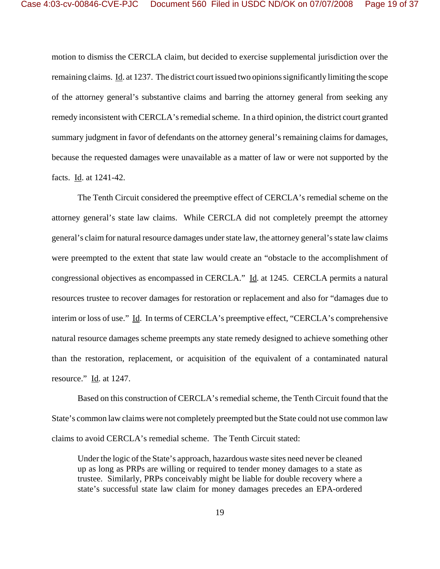motion to dismiss the CERCLA claim, but decided to exercise supplemental jurisdiction over the remaining claims. Id. at 1237. The district court issued two opinions significantly limiting the scope of the attorney general's substantive claims and barring the attorney general from seeking any remedy inconsistent with CERCLA's remedial scheme. In a third opinion, the district court granted summary judgment in favor of defendants on the attorney general's remaining claims for damages, because the requested damages were unavailable as a matter of law or were not supported by the facts. Id. at 1241-42.

The Tenth Circuit considered the preemptive effect of CERCLA's remedial scheme on the attorney general's state law claims. While CERCLA did not completely preempt the attorney general's claim for natural resource damages under state law, the attorney general's state law claims were preempted to the extent that state law would create an "obstacle to the accomplishment of congressional objectives as encompassed in CERCLA." Id. at 1245. CERCLA permits a natural resources trustee to recover damages for restoration or replacement and also for "damages due to interim or loss of use." Id. In terms of CERCLA's preemptive effect, "CERCLA's comprehensive natural resource damages scheme preempts any state remedy designed to achieve something other than the restoration, replacement, or acquisition of the equivalent of a contaminated natural resource."  $\underline{Id}$ . at 1247.

Based on this construction of CERCLA's remedial scheme, the Tenth Circuit found that the State's common law claims were not completely preempted but the State could not use common law claims to avoid CERCLA's remedial scheme. The Tenth Circuit stated:

Under the logic of the State's approach, hazardous waste sites need never be cleaned up as long as PRPs are willing or required to tender money damages to a state as trustee. Similarly, PRPs conceivably might be liable for double recovery where a state's successful state law claim for money damages precedes an EPA-ordered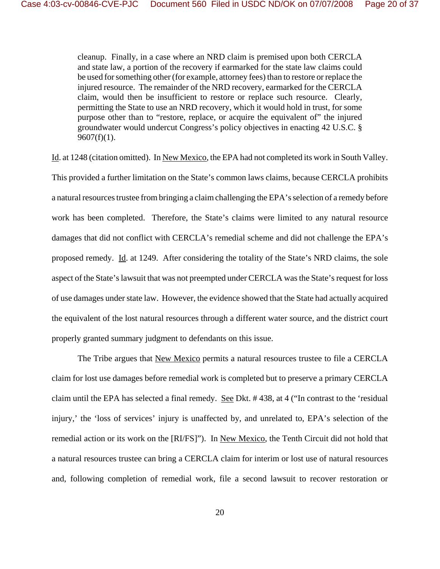cleanup. Finally, in a case where an NRD claim is premised upon both CERCLA and state law, a portion of the recovery if earmarked for the state law claims could be used for something other (for example, attorney fees) than to restore or replace the injured resource. The remainder of the NRD recovery, earmarked for the CERCLA claim, would then be insufficient to restore or replace such resource. Clearly, permitting the State to use an NRD recovery, which it would hold in trust, for some purpose other than to "restore, replace, or acquire the equivalent of" the injured groundwater would undercut Congress's policy objectives in enacting 42 U.S.C. §  $9607(f)(1)$ .

Id. at 1248 (citation omitted). In New Mexico, the EPA had not completed its work in South Valley. This provided a further limitation on the State's common laws claims, because CERCLA prohibits a natural resources trustee from bringing a claim challenging the EPA's selection of a remedy before work has been completed. Therefore, the State's claims were limited to any natural resource damages that did not conflict with CERCLA's remedial scheme and did not challenge the EPA's proposed remedy. Id. at 1249. After considering the totality of the State's NRD claims, the sole aspect of the State's lawsuit that was not preempted under CERCLA was the State's request for loss of use damages under state law. However, the evidence showed that the State had actually acquired the equivalent of the lost natural resources through a different water source, and the district court properly granted summary judgment to defendants on this issue.

The Tribe argues that <u>New Mexico</u> permits a natural resources trustee to file a CERCLA claim for lost use damages before remedial work is completed but to preserve a primary CERCLA claim until the EPA has selected a final remedy. See Dkt. # 438, at 4 ("In contrast to the 'residual injury,' the 'loss of services' injury is unaffected by, and unrelated to, EPA's selection of the remedial action or its work on the [RI/FS]"). In New Mexico, the Tenth Circuit did not hold that a natural resources trustee can bring a CERCLA claim for interim or lost use of natural resources and, following completion of remedial work, file a second lawsuit to recover restoration or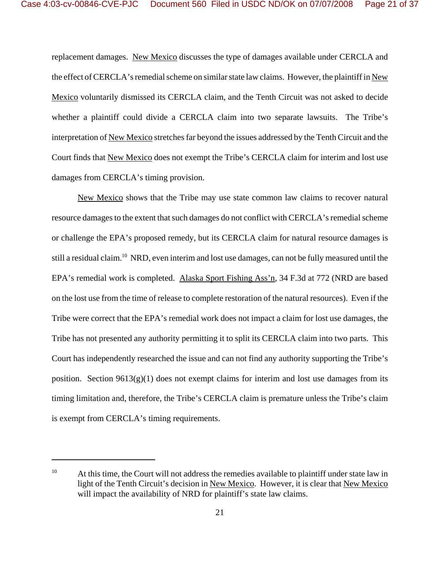replacement damages. New Mexico discusses the type of damages available under CERCLA and the effect of CERCLA's remedial scheme on similar state law claims. However, the plaintiff in New Mexico voluntarily dismissed its CERCLA claim, and the Tenth Circuit was not asked to decide whether a plaintiff could divide a CERCLA claim into two separate lawsuits. The Tribe's interpretation of New Mexico stretches far beyond the issues addressed by the Tenth Circuit and the Court finds that New Mexico does not exempt the Tribe's CERCLA claim for interim and lost use damages from CERCLA's timing provision.

New Mexico shows that the Tribe may use state common law claims to recover natural resource damages to the extent that such damages do not conflict with CERCLA's remedial scheme or challenge the EPA's proposed remedy, but its CERCLA claim for natural resource damages is still a residual claim.<sup>10</sup> NRD, even interim and lost use damages, can not be fully measured until the EPA's remedial work is completed. Alaska Sport Fishing Ass'n, 34 F.3d at 772 (NRD are based on the lost use from the time of release to complete restoration of the natural resources). Even if the Tribe were correct that the EPA's remedial work does not impact a claim for lost use damages, the Tribe has not presented any authority permitting it to split its CERCLA claim into two parts. This Court has independently researched the issue and can not find any authority supporting the Tribe's position. Section  $9613(g)(1)$  does not exempt claims for interim and lost use damages from its timing limitation and, therefore, the Tribe's CERCLA claim is premature unless the Tribe's claim is exempt from CERCLA's timing requirements.

 $10$  At this time, the Court will not address the remedies available to plaintiff under state law in light of the Tenth Circuit's decision in New Mexico. However, it is clear that New Mexico will impact the availability of NRD for plaintiff's state law claims.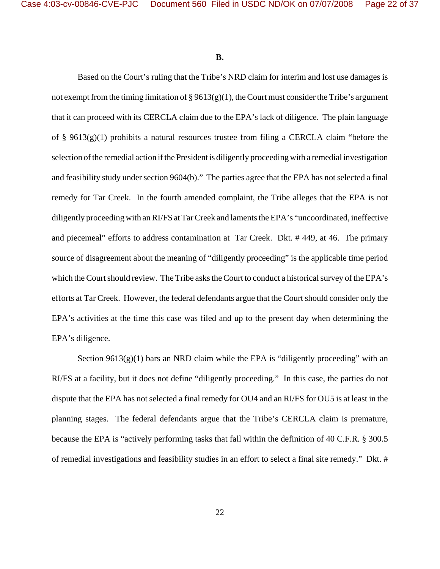**B.**

Based on the Court's ruling that the Tribe's NRD claim for interim and lost use damages is not exempt from the timing limitation of  $\S 9613(g)(1)$ , the Court must consider the Tribe's argument that it can proceed with its CERCLA claim due to the EPA's lack of diligence. The plain language of § 9613(g)(1) prohibits a natural resources trustee from filing a CERCLA claim "before the selection of the remedial action if the President is diligently proceeding with a remedial investigation and feasibility study under section 9604(b)." The parties agree that the EPA has not selected a final remedy for Tar Creek. In the fourth amended complaint, the Tribe alleges that the EPA is not diligently proceeding with an RI/FS at Tar Creek and laments the EPA's "uncoordinated, ineffective and piecemeal" efforts to address contamination at Tar Creek. Dkt. # 449, at 46. The primary source of disagreement about the meaning of "diligently proceeding" is the applicable time period which the Court should review. The Tribe asks the Court to conduct a historical survey of the EPA's efforts at Tar Creek. However, the federal defendants argue that the Court should consider only the EPA's activities at the time this case was filed and up to the present day when determining the EPA's diligence.

Section  $9613(g)(1)$  bars an NRD claim while the EPA is "diligently proceeding" with an RI/FS at a facility, but it does not define "diligently proceeding." In this case, the parties do not dispute that the EPA has not selected a final remedy for OU4 and an RI/FS for OU5 is at least in the planning stages. The federal defendants argue that the Tribe's CERCLA claim is premature, because the EPA is "actively performing tasks that fall within the definition of 40 C.F.R. § 300.5 of remedial investigations and feasibility studies in an effort to select a final site remedy." Dkt. #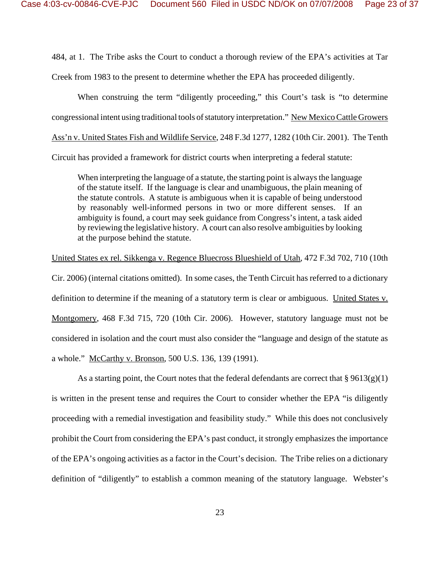484, at 1. The Tribe asks the Court to conduct a thorough review of the EPA's activities at Tar Creek from 1983 to the present to determine whether the EPA has proceeded diligently.

When construing the term "diligently proceeding," this Court's task is "to determine congressional intent using traditional tools of statutory interpretation." New Mexico Cattle Growers Ass'n v. United States Fish and Wildlife Service, 248 F.3d 1277, 1282 (10th Cir. 2001). The Tenth Circuit has provided a framework for district courts when interpreting a federal statute:

When interpreting the language of a statute, the starting point is always the language of the statute itself. If the language is clear and unambiguous, the plain meaning of the statute controls. A statute is ambiguous when it is capable of being understood by reasonably well-informed persons in two or more different senses. If an ambiguity is found, a court may seek guidance from Congress's intent, a task aided by reviewing the legislative history. A court can also resolve ambiguities by looking at the purpose behind the statute.

United States ex rel. Sikkenga v. Regence Bluecross Blueshield of Utah, 472 F.3d 702, 710 (10th Cir. 2006) (internal citations omitted). In some cases, the Tenth Circuit has referred to a dictionary definition to determine if the meaning of a statutory term is clear or ambiguous. United States v. Montgomery, 468 F.3d 715, 720 (10th Cir. 2006). However, statutory language must not be considered in isolation and the court must also consider the "language and design of the statute as a whole." McCarthy v. Bronson, 500 U.S. 136, 139 (1991).

As a starting point, the Court notes that the federal defendants are correct that  $\S 9613(g)(1)$ is written in the present tense and requires the Court to consider whether the EPA "is diligently proceeding with a remedial investigation and feasibility study." While this does not conclusively prohibit the Court from considering the EPA's past conduct, it strongly emphasizes the importance of the EPA's ongoing activities as a factor in the Court's decision. The Tribe relies on a dictionary definition of "diligently" to establish a common meaning of the statutory language. Webster's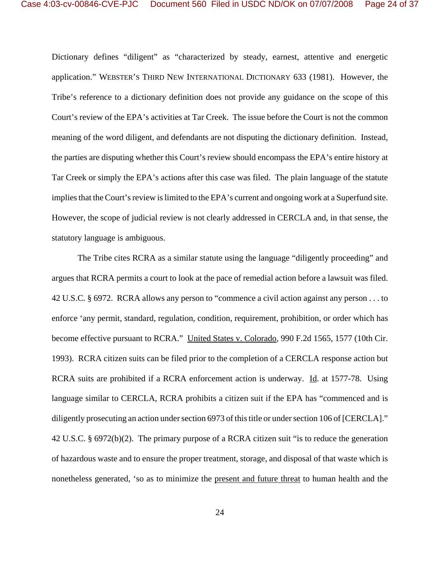Dictionary defines "diligent" as "characterized by steady, earnest, attentive and energetic application." WEBSTER'S THIRD NEW INTERNATIONAL DICTIONARY 633 (1981). However, the Tribe's reference to a dictionary definition does not provide any guidance on the scope of this Court's review of the EPA's activities at Tar Creek. The issue before the Court is not the common meaning of the word diligent, and defendants are not disputing the dictionary definition. Instead, the parties are disputing whether this Court's review should encompass the EPA's entire history at Tar Creek or simply the EPA's actions after this case was filed. The plain language of the statute implies that the Court's review is limited to the EPA's current and ongoing work at a Superfund site. However, the scope of judicial review is not clearly addressed in CERCLA and, in that sense, the statutory language is ambiguous.

The Tribe cites RCRA as a similar statute using the language "diligently proceeding" and argues that RCRA permits a court to look at the pace of remedial action before a lawsuit was filed. 42 U.S.C. § 6972. RCRA allows any person to "commence a civil action against any person . . . to enforce 'any permit, standard, regulation, condition, requirement, prohibition, or order which has become effective pursuant to RCRA." United States v. Colorado, 990 F.2d 1565, 1577 (10th Cir. 1993). RCRA citizen suits can be filed prior to the completion of a CERCLA response action but RCRA suits are prohibited if a RCRA enforcement action is underway. Id. at 1577-78. Using language similar to CERCLA, RCRA prohibits a citizen suit if the EPA has "commenced and is diligently prosecuting an action under section 6973 of this title or under section 106 of [CERCLA]." 42 U.S.C. § 6972(b)(2). The primary purpose of a RCRA citizen suit "is to reduce the generation of hazardous waste and to ensure the proper treatment, storage, and disposal of that waste which is nonetheless generated, 'so as to minimize the present and future threat to human health and the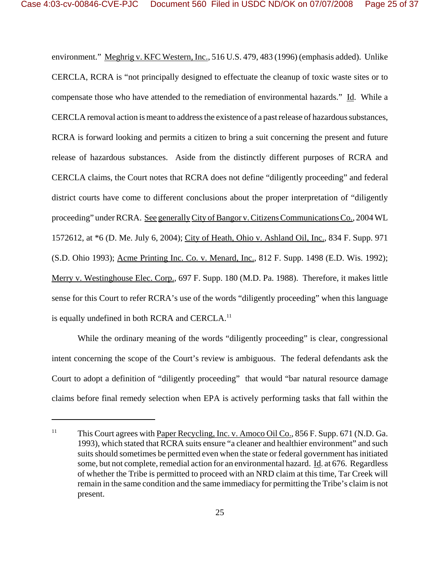environment." Meghrig v. KFC Western, Inc., 516 U.S. 479, 483 (1996) (emphasis added). Unlike CERCLA, RCRA is "not principally designed to effectuate the cleanup of toxic waste sites or to compensate those who have attended to the remediation of environmental hazards." Id. While a CERCLA removal action is meant to address the existence of a past release of hazardous substances, RCRA is forward looking and permits a citizen to bring a suit concerning the present and future release of hazardous substances. Aside from the distinctly different purposes of RCRA and CERCLA claims, the Court notes that RCRA does not define "diligently proceeding" and federal district courts have come to different conclusions about the proper interpretation of "diligently proceeding" under RCRA. See generally City of Bangor v. Citizens Communications Co., 2004 WL 1572612, at \*6 (D. Me. July 6, 2004); City of Heath, Ohio v. Ashland Oil, Inc., 834 F. Supp. 971 (S.D. Ohio 1993); Acme Printing Inc. Co. v. Menard, Inc., 812 F. Supp. 1498 (E.D. Wis. 1992); Merry v. Westinghouse Elec. Corp., 697 F. Supp. 180 (M.D. Pa. 1988). Therefore, it makes little sense for this Court to refer RCRA's use of the words "diligently proceeding" when this language is equally undefined in both RCRA and CERCLA.<sup>11</sup>

While the ordinary meaning of the words "diligently proceeding" is clear, congressional intent concerning the scope of the Court's review is ambiguous. The federal defendants ask the Court to adopt a definition of "diligently proceeding" that would "bar natural resource damage claims before final remedy selection when EPA is actively performing tasks that fall within the

<sup>&</sup>lt;sup>11</sup> This Court agrees with Paper Recycling, Inc. v. Amoco Oil Co., 856 F. Supp. 671 (N.D. Ga. 1993), which stated that RCRA suits ensure "a cleaner and healthier environment" and such suits should sometimes be permitted even when the state or federal government has initiated some, but not complete, remedial action for an environmental hazard. Id. at 676. Regardless of whether the Tribe is permitted to proceed with an NRD claim at this time, Tar Creek will remain in the same condition and the same immediacy for permitting the Tribe's claim is not present.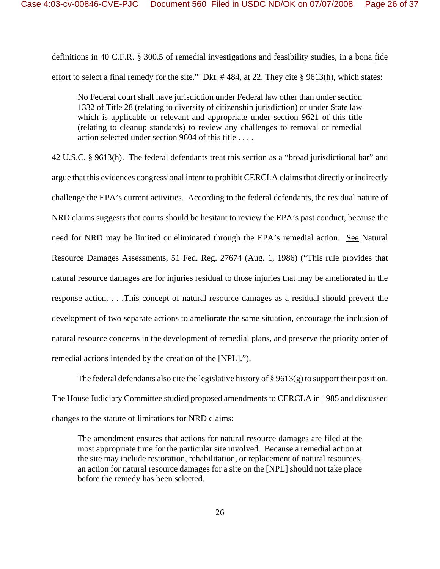definitions in 40 C.F.R. § 300.5 of remedial investigations and feasibility studies, in a bona fide effort to select a final remedy for the site." Dkt. # 484, at 22. They cite § 9613(h), which states:

No Federal court shall have jurisdiction under Federal law other than under section 1332 of Title 28 (relating to diversity of citizenship jurisdiction) or under State law which is applicable or relevant and appropriate under section 9621 of this title (relating to cleanup standards) to review any challenges to removal or remedial action selected under section 9604 of this title . . . .

42 U.S.C. § 9613(h). The federal defendants treat this section as a "broad jurisdictional bar" and argue that this evidences congressional intent to prohibit CERCLA claims that directly or indirectly challenge the EPA's current activities. According to the federal defendants, the residual nature of NRD claims suggests that courts should be hesitant to review the EPA's past conduct, because the need for NRD may be limited or eliminated through the EPA's remedial action. See Natural Resource Damages Assessments, 51 Fed. Reg. 27674 (Aug. 1, 1986) ("This rule provides that natural resource damages are for injuries residual to those injuries that may be ameliorated in the response action. . . .This concept of natural resource damages as a residual should prevent the development of two separate actions to ameliorate the same situation, encourage the inclusion of natural resource concerns in the development of remedial plans, and preserve the priority order of remedial actions intended by the creation of the [NPL].").

The federal defendants also cite the legislative history of  $\S 9613(g)$  to support their position. The House Judiciary Committee studied proposed amendments to CERCLA in 1985 and discussed changes to the statute of limitations for NRD claims:

The amendment ensures that actions for natural resource damages are filed at the most appropriate time for the particular site involved. Because a remedial action at the site may include restoration, rehabilitation, or replacement of natural resources, an action for natural resource damages for a site on the [NPL] should not take place before the remedy has been selected.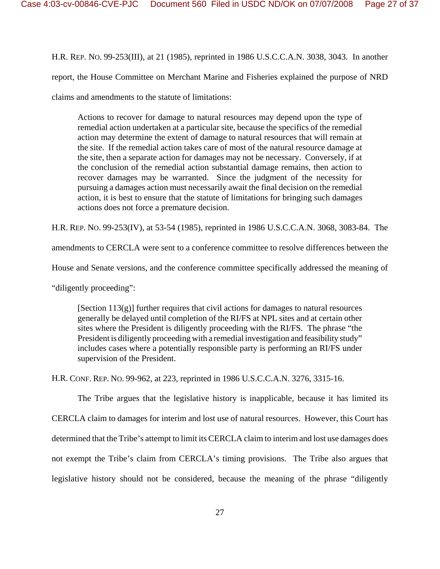H.R. REP. NO. 99-253(III), at 21 (1985), reprinted in 1986 U.S.C.C.A.N. 3038, 3043. In another report, the House Committee on Merchant Marine and Fisheries explained the purpose of NRD claims and amendments to the statute of limitations:

Actions to recover for damage to natural resources may depend upon the type of remedial action undertaken at a particular site, because the specifics of the remedial action may determine the extent of damage to natural resources that will remain at the site. If the remedial action takes care of most of the natural resource damage at the site, then a separate action for damages may not be necessary. Conversely, if at the conclusion of the remedial action substantial damage remains, then action to recover damages may be warranted. Since the judgment of the necessity for pursuing a damages action must necessarily await the final decision on the remedial action, it is best to ensure that the statute of limitations for bringing such damages actions does not force a premature decision.

H.R. REP. NO. 99-253(IV), at 53-54 (1985), reprinted in 1986 U.S.C.C.A.N. 3068, 3083-84. The

amendments to CERCLA were sent to a conference committee to resolve differences between the

House and Senate versions, and the conference committee specifically addressed the meaning of

"diligently proceeding":

[Section 113(g)] further requires that civil actions for damages to natural resources generally be delayed until completion of the RI/FS at NPL sites and at certain other sites where the President is diligently proceeding with the RI/FS. The phrase "the President is diligently proceeding with a remedial investigation and feasibility study" includes cases where a potentially responsible party is performing an RI/FS under supervision of the President.

H.R. CONF. REP. NO. 99-962, at 223, reprinted in 1986 U.S.C.C.A.N. 3276, 3315-16.

The Tribe argues that the legislative history is inapplicable, because it has limited its CERCLA claim to damages for interim and lost use of natural resources. However, this Court has determined that the Tribe's attempt to limit its CERCLA claim to interim and lost use damages does not exempt the Tribe's claim from CERCLA's timing provisions. The Tribe also argues that legislative history should not be considered, because the meaning of the phrase "diligently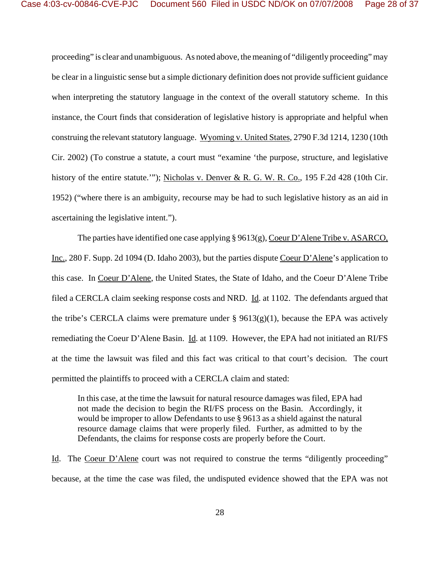proceeding" is clear and unambiguous. As noted above, the meaning of "diligently proceeding" may be clear in a linguistic sense but a simple dictionary definition does not provide sufficient guidance when interpreting the statutory language in the context of the overall statutory scheme. In this instance, the Court finds that consideration of legislative history is appropriate and helpful when construing the relevant statutory language. Wyoming v. United States, 2790 F.3d 1214, 1230 (10th Cir. 2002) (To construe a statute, a court must "examine 'the purpose, structure, and legislative history of the entire statute.'"); Nicholas v. Denver & R. G. W. R. Co., 195 F.2d 428 (10th Cir. 1952) ("where there is an ambiguity, recourse may be had to such legislative history as an aid in ascertaining the legislative intent.").

The parties have identified one case applying § 9613(g), Coeur D'Alene Tribe v. ASARCO, Inc., 280 F. Supp. 2d 1094 (D. Idaho 2003), but the parties dispute Coeur D'Alene's application to this case. In Coeur D'Alene, the United States, the State of Idaho, and the Coeur D'Alene Tribe filed a CERCLA claim seeking response costs and NRD. Id. at 1102. The defendants argued that the tribe's CERCLA claims were premature under §  $9613(g)(1)$ , because the EPA was actively remediating the Coeur D'Alene Basin. Id. at 1109. However, the EPA had not initiated an RI/FS at the time the lawsuit was filed and this fact was critical to that court's decision. The court permitted the plaintiffs to proceed with a CERCLA claim and stated:

In this case, at the time the lawsuit for natural resource damages was filed, EPA had not made the decision to begin the RI/FS process on the Basin. Accordingly, it would be improper to allow Defendants to use § 9613 as a shield against the natural resource damage claims that were properly filed. Further, as admitted to by the Defendants, the claims for response costs are properly before the Court.

Id. The Coeur D'Alene court was not required to construe the terms "diligently proceeding" because, at the time the case was filed, the undisputed evidence showed that the EPA was not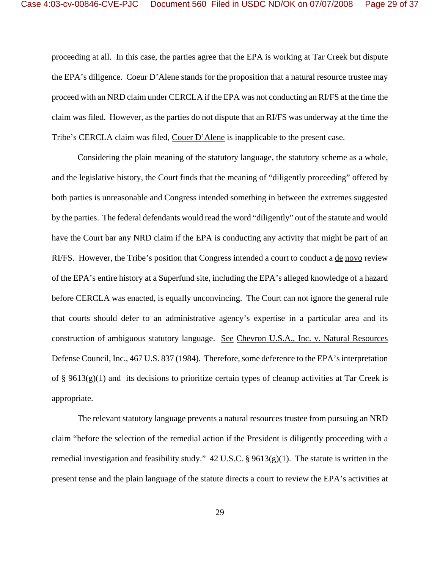proceeding at all. In this case, the parties agree that the EPA is working at Tar Creek but dispute the EPA's diligence. Coeur D'Alene stands for the proposition that a natural resource trustee may proceed with an NRD claim under CERCLA if the EPA was not conducting an RI/FS at the time the claim was filed. However, as the parties do not dispute that an RI/FS was underway at the time the Tribe's CERCLA claim was filed, Couer D'Alene is inapplicable to the present case.

Considering the plain meaning of the statutory language, the statutory scheme as a whole, and the legislative history, the Court finds that the meaning of "diligently proceeding" offered by both parties is unreasonable and Congress intended something in between the extremes suggested by the parties. The federal defendants would read the word "diligently" out of the statute and would have the Court bar any NRD claim if the EPA is conducting any activity that might be part of an RI/FS. However, the Tribe's position that Congress intended a court to conduct a de novo review of the EPA's entire history at a Superfund site, including the EPA's alleged knowledge of a hazard before CERCLA was enacted, is equally unconvincing. The Court can not ignore the general rule that courts should defer to an administrative agency's expertise in a particular area and its construction of ambiguous statutory language. See Chevron U.S.A., Inc. v. Natural Resources Defense Council, Inc., 467 U.S. 837 (1984). Therefore, some deference to the EPA's interpretation of § 9613(g)(1) and its decisions to prioritize certain types of cleanup activities at Tar Creek is appropriate.

The relevant statutory language prevents a natural resources trustee from pursuing an NRD claim "before the selection of the remedial action if the President is diligently proceeding with a remedial investigation and feasibility study."  $42 \text{ U.S.C.}$  §  $9613(g)(1)$ . The statute is written in the present tense and the plain language of the statute directs a court to review the EPA's activities at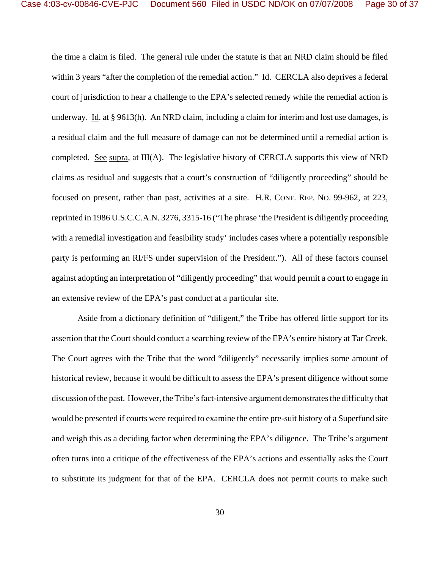the time a claim is filed. The general rule under the statute is that an NRD claim should be filed within 3 years "after the completion of the remedial action." Id. CERCLA also deprives a federal court of jurisdiction to hear a challenge to the EPA's selected remedy while the remedial action is underway. Id. at  $\S 9613(h)$ . An NRD claim, including a claim for interim and lost use damages, is a residual claim and the full measure of damage can not be determined until a remedial action is completed. See supra, at III(A). The legislative history of CERCLA supports this view of NRD claims as residual and suggests that a court's construction of "diligently proceeding" should be focused on present, rather than past, activities at a site. H.R. CONF. REP. NO. 99-962, at 223, reprinted in 1986 U.S.C.C.A.N. 3276, 3315-16 ("The phrase 'the President is diligently proceeding with a remedial investigation and feasibility study' includes cases where a potentially responsible party is performing an RI/FS under supervision of the President."). All of these factors counsel against adopting an interpretation of "diligently proceeding" that would permit a court to engage in an extensive review of the EPA's past conduct at a particular site.

Aside from a dictionary definition of "diligent," the Tribe has offered little support for its assertion that the Court should conduct a searching review of the EPA's entire history at Tar Creek. The Court agrees with the Tribe that the word "diligently" necessarily implies some amount of historical review, because it would be difficult to assess the EPA's present diligence without some discussion of the past. However, the Tribe's fact-intensive argument demonstrates the difficulty that would be presented if courts were required to examine the entire pre-suit history of a Superfund site and weigh this as a deciding factor when determining the EPA's diligence. The Tribe's argument often turns into a critique of the effectiveness of the EPA's actions and essentially asks the Court to substitute its judgment for that of the EPA. CERCLA does not permit courts to make such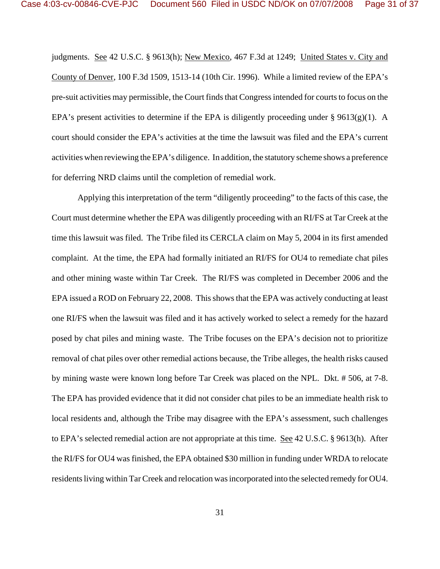judgments. See 42 U.S.C. § 9613(h); New Mexico, 467 F.3d at 1249; United States v. City and County of Denver, 100 F.3d 1509, 1513-14 (10th Cir. 1996). While a limited review of the EPA's pre-suit activities may permissible, the Court finds that Congress intended for courts to focus on the EPA's present activities to determine if the EPA is diligently proceeding under § 9613(g)(1). A court should consider the EPA's activities at the time the lawsuit was filed and the EPA's current activities when reviewing the EPA's diligence. In addition, the statutory scheme shows a preference for deferring NRD claims until the completion of remedial work.

Applying this interpretation of the term "diligently proceeding" to the facts of this case, the Court must determine whether the EPA was diligently proceeding with an RI/FS at Tar Creek at the time this lawsuit was filed. The Tribe filed its CERCLA claim on May 5, 2004 in its first amended complaint. At the time, the EPA had formally initiated an RI/FS for OU4 to remediate chat piles and other mining waste within Tar Creek. The RI/FS was completed in December 2006 and the EPA issued a ROD on February 22, 2008. This shows that the EPA was actively conducting at least one RI/FS when the lawsuit was filed and it has actively worked to select a remedy for the hazard posed by chat piles and mining waste. The Tribe focuses on the EPA's decision not to prioritize removal of chat piles over other remedial actions because, the Tribe alleges, the health risks caused by mining waste were known long before Tar Creek was placed on the NPL. Dkt. # 506, at 7-8. The EPA has provided evidence that it did not consider chat piles to be an immediate health risk to local residents and, although the Tribe may disagree with the EPA's assessment, such challenges to EPA's selected remedial action are not appropriate at this time. See 42 U.S.C. § 9613(h). After the RI/FS for OU4 was finished, the EPA obtained \$30 million in funding under WRDA to relocate residents living within Tar Creek and relocation was incorporated into the selected remedy for OU4.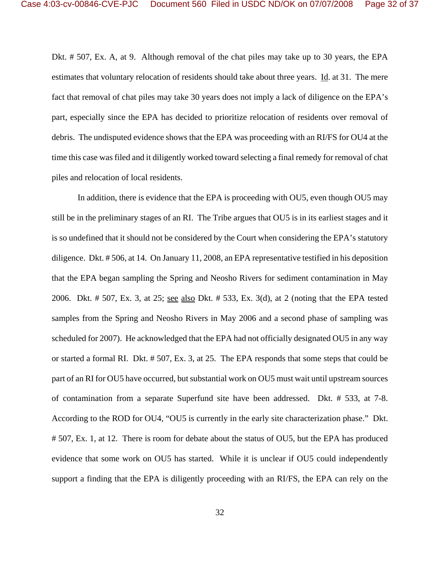Dkt. # 507, Ex. A, at 9. Although removal of the chat piles may take up to 30 years, the EPA estimates that voluntary relocation of residents should take about three years. Id. at 31. The mere fact that removal of chat piles may take 30 years does not imply a lack of diligence on the EPA's part, especially since the EPA has decided to prioritize relocation of residents over removal of debris. The undisputed evidence shows that the EPA was proceeding with an RI/FS for OU4 at the time this case was filed and it diligently worked toward selecting a final remedy for removal of chat piles and relocation of local residents.

In addition, there is evidence that the EPA is proceeding with OU5, even though OU5 may still be in the preliminary stages of an RI. The Tribe argues that OU5 is in its earliest stages and it is so undefined that it should not be considered by the Court when considering the EPA's statutory diligence. Dkt. # 506, at 14. On January 11, 2008, an EPA representative testified in his deposition that the EPA began sampling the Spring and Neosho Rivers for sediment contamination in May 2006. Dkt. # 507, Ex. 3, at 25; see also Dkt. # 533, Ex. 3(d), at 2 (noting that the EPA tested samples from the Spring and Neosho Rivers in May 2006 and a second phase of sampling was scheduled for 2007). He acknowledged that the EPA had not officially designated OU5 in any way or started a formal RI. Dkt. # 507, Ex. 3, at 25. The EPA responds that some steps that could be part of an RI for OU5 have occurred, but substantial work on OU5 must wait until upstream sources of contamination from a separate Superfund site have been addressed. Dkt. # 533, at 7-8. According to the ROD for OU4, "OU5 is currently in the early site characterization phase." Dkt. # 507, Ex. 1, at 12. There is room for debate about the status of OU5, but the EPA has produced evidence that some work on OU5 has started. While it is unclear if OU5 could independently support a finding that the EPA is diligently proceeding with an RI/FS, the EPA can rely on the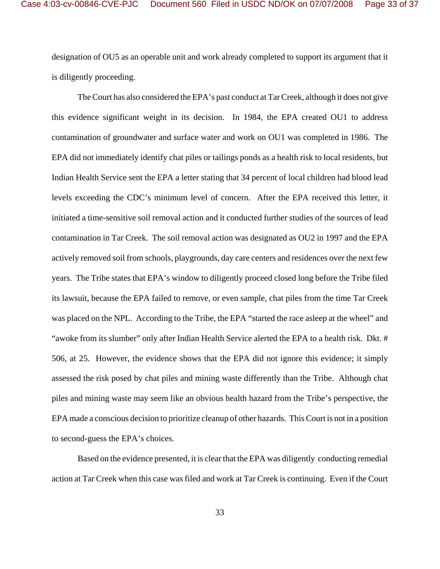designation of OU5 as an operable unit and work already completed to support its argument that it is diligently proceeding.

The Court has also considered the EPA's past conduct at Tar Creek, although it does not give this evidence significant weight in its decision. In 1984, the EPA created OU1 to address contamination of groundwater and surface water and work on OU1 was completed in 1986. The EPA did not immediately identify chat piles or tailings ponds as a health risk to local residents, but Indian Health Service sent the EPA a letter stating that 34 percent of local children had blood lead levels exceeding the CDC's minimum level of concern. After the EPA received this letter, it initiated a time-sensitive soil removal action and it conducted further studies of the sources of lead contamination in Tar Creek. The soil removal action was designated as OU2 in 1997 and the EPA actively removed soil from schools, playgrounds, day care centers and residences over the next few years. The Tribe states that EPA's window to diligently proceed closed long before the Tribe filed its lawsuit, because the EPA failed to remove, or even sample, chat piles from the time Tar Creek was placed on the NPL. According to the Tribe, the EPA "started the race asleep at the wheel" and "awoke from its slumber" only after Indian Health Service alerted the EPA to a health risk. Dkt. # 506, at 25. However, the evidence shows that the EPA did not ignore this evidence; it simply assessed the risk posed by chat piles and mining waste differently than the Tribe. Although chat piles and mining waste may seem like an obvious health hazard from the Tribe's perspective, the EPA made a conscious decision to prioritize cleanup of other hazards. This Court is not in a position to second-guess the EPA's choices.

Based on the evidence presented, it is clear that the EPA was diligently conducting remedial action at Tar Creek when this case was filed and work at Tar Creek is continuing. Even if the Court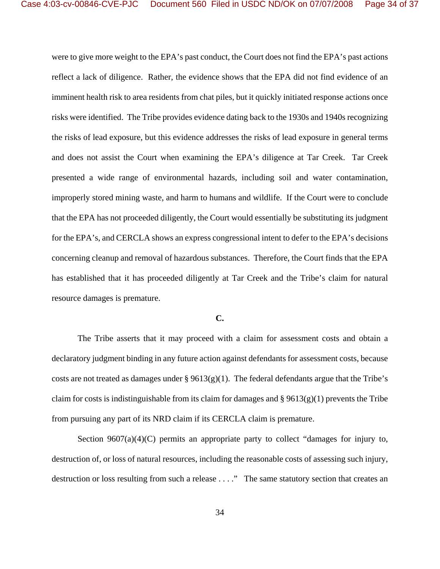were to give more weight to the EPA's past conduct, the Court does not find the EPA's past actions reflect a lack of diligence. Rather, the evidence shows that the EPA did not find evidence of an imminent health risk to area residents from chat piles, but it quickly initiated response actions once risks were identified. The Tribe provides evidence dating back to the 1930s and 1940s recognizing the risks of lead exposure, but this evidence addresses the risks of lead exposure in general terms and does not assist the Court when examining the EPA's diligence at Tar Creek. Tar Creek presented a wide range of environmental hazards, including soil and water contamination, improperly stored mining waste, and harm to humans and wildlife. If the Court were to conclude that the EPA has not proceeded diligently, the Court would essentially be substituting its judgment for the EPA's, and CERCLA shows an express congressional intent to defer to the EPA's decisions concerning cleanup and removal of hazardous substances. Therefore, the Court finds that the EPA has established that it has proceeded diligently at Tar Creek and the Tribe's claim for natural resource damages is premature.

## **C.**

The Tribe asserts that it may proceed with a claim for assessment costs and obtain a declaratory judgment binding in any future action against defendants for assessment costs, because costs are not treated as damages under  $\S 9613(g)(1)$ . The federal defendants argue that the Tribe's claim for costs is indistinguishable from its claim for damages and  $\S 9613(g)(1)$  prevents the Tribe from pursuing any part of its NRD claim if its CERCLA claim is premature.

Section  $9607(a)(4)(C)$  permits an appropriate party to collect "damages for injury to, destruction of, or loss of natural resources, including the reasonable costs of assessing such injury, destruction or loss resulting from such a release . . . ." The same statutory section that creates an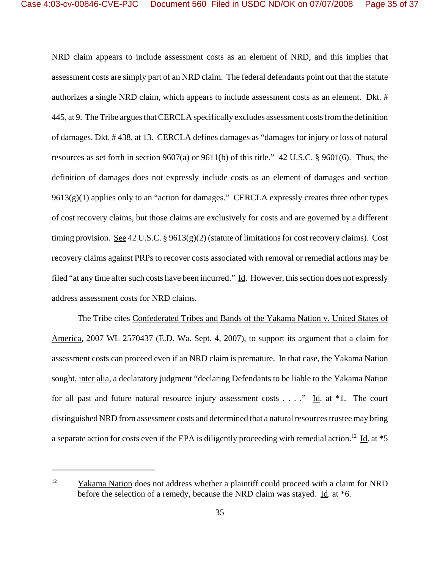NRD claim appears to include assessment costs as an element of NRD, and this implies that assessment costs are simply part of an NRD claim. The federal defendants point out that the statute authorizes a single NRD claim, which appears to include assessment costs as an element. Dkt. # 445, at 9. The Tribe argues that CERCLA specifically excludes assessment costs from the definition of damages. Dkt. # 438, at 13. CERCLA defines damages as "damages for injury or loss of natural resources as set forth in section 9607(a) or 9611(b) of this title." 42 U.S.C. § 9601(6). Thus, the definition of damages does not expressly include costs as an element of damages and section  $9613(g)(1)$  applies only to an "action for damages." CERCLA expressly creates three other types of cost recovery claims, but those claims are exclusively for costs and are governed by a different timing provision. See 42 U.S.C. §  $9613(g)(2)$  (statute of limitations for cost recovery claims). Cost recovery claims against PRPs to recover costs associated with removal or remedial actions may be filed "at any time after such costs have been incurred." Id. However, this section does not expressly address assessment costs for NRD claims.

The Tribe cites Confederated Tribes and Bands of the Yakama Nation v. United States of America, 2007 WL 2570437 (E.D. Wa. Sept. 4, 2007), to support its argument that a claim for assessment costs can proceed even if an NRD claim is premature. In that case, the Yakama Nation sought, inter alia, a declaratory judgment "declaring Defendants to be liable to the Yakama Nation for all past and future natural resource injury assessment costs  $\dots$ ." Id. at \*1. The court distinguished NRD from assessment costs and determined that a natural resources trustee may bring a separate action for costs even if the EPA is diligently proceeding with remedial action.<sup>12</sup> Id. at  $*5$ 

<sup>&</sup>lt;sup>12</sup> Yakama Nation does not address whether a plaintiff could proceed with a claim for NRD before the selection of a remedy, because the NRD claim was stayed. Id. at  $*6$ .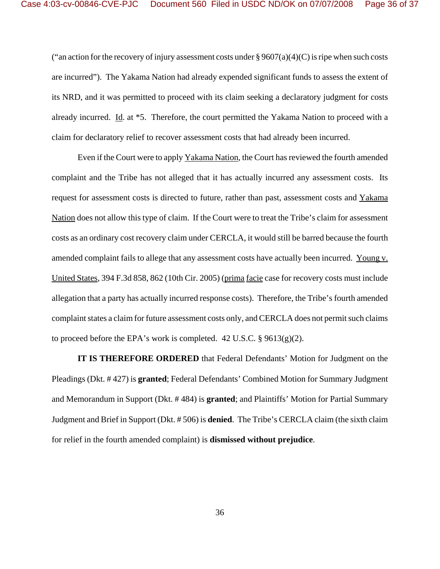("an action for the recovery of injury assessment costs under  $\S 9607(a)(4)(C)$  is ripe when such costs are incurred"). The Yakama Nation had already expended significant funds to assess the extent of its NRD, and it was permitted to proceed with its claim seeking a declaratory judgment for costs already incurred. Id. at \*5. Therefore, the court permitted the Yakama Nation to proceed with a claim for declaratory relief to recover assessment costs that had already been incurred.

Even if the Court were to apply Yakama Nation, the Court has reviewed the fourth amended complaint and the Tribe has not alleged that it has actually incurred any assessment costs. Its request for assessment costs is directed to future, rather than past, assessment costs and Yakama Nation does not allow this type of claim. If the Court were to treat the Tribe's claim for assessment costs as an ordinary cost recovery claim under CERCLA, it would still be barred because the fourth amended complaint fails to allege that any assessment costs have actually been incurred. Young v. United States, 394 F.3d 858, 862 (10th Cir. 2005) (prima facie case for recovery costs must include allegation that a party has actually incurred response costs). Therefore, the Tribe's fourth amended complaint states a claim for future assessment costs only, and CERCLA does not permit such claims to proceed before the EPA's work is completed.  $42 \text{ U.S.C.}$  §  $9613(g)(2)$ .

**IT IS THEREFORE ORDERED** that Federal Defendants' Motion for Judgment on the Pleadings (Dkt. # 427) is **granted**; Federal Defendants' Combined Motion for Summary Judgment and Memorandum in Support (Dkt. # 484) is **granted**; and Plaintiffs' Motion for Partial Summary Judgment and Brief in Support (Dkt. # 506) is **denied**. The Tribe's CERCLA claim (the sixth claim for relief in the fourth amended complaint) is **dismissed without prejudice**.